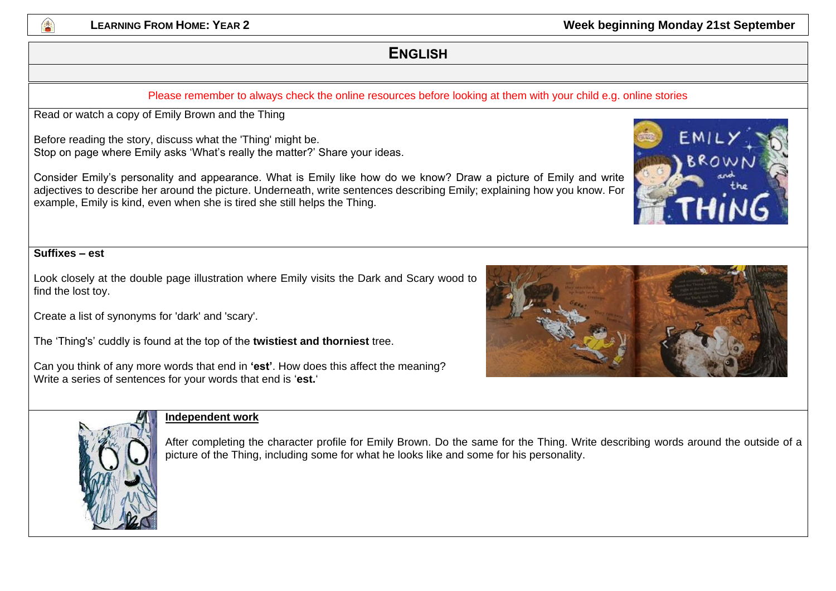

**LEARNING FROM HOME: YEAR 2 CONSUMING 21ST AND REARNING PROMISE AND REARNING PROMISE AND REARNING FROM HOME** 

## **ENGLISH**

#### Please remember to always check the online resources before looking at them with your child e.g. online stories

Read or watch a copy of Emily Brown and the Thing

Before reading the story, discuss what the 'Thing' might be. Stop on page where Emily asks 'What's really the matter?' Share your ideas.

Consider Emily's personality and appearance. What is Emily like how do we know? Draw a picture of Emily and write adjectives to describe her around the picture. Underneath, write sentences describing Emily; explaining how you know. For example, Emily is kind, even when she is tired she still helps the Thing.

#### **Suffixes – est**

Look closely at the double page illustration where Emily visits the Dark and Scary wood to find the lost toy.

Create a list of synonyms for 'dark' and 'scary'.

The 'Thing's' cuddly is found at the top of the **twistiest and thorniest** tree.

Can you think of any more words that end in **'est'**. How does this affect the meaning? Write a series of sentences for your words that end is '**est.**'





#### **Independent work**

After completing the character profile for Emily Brown. Do the same for the Thing. Write describing words around the outside of a picture of the Thing, including some for what he looks like and some for his personality.

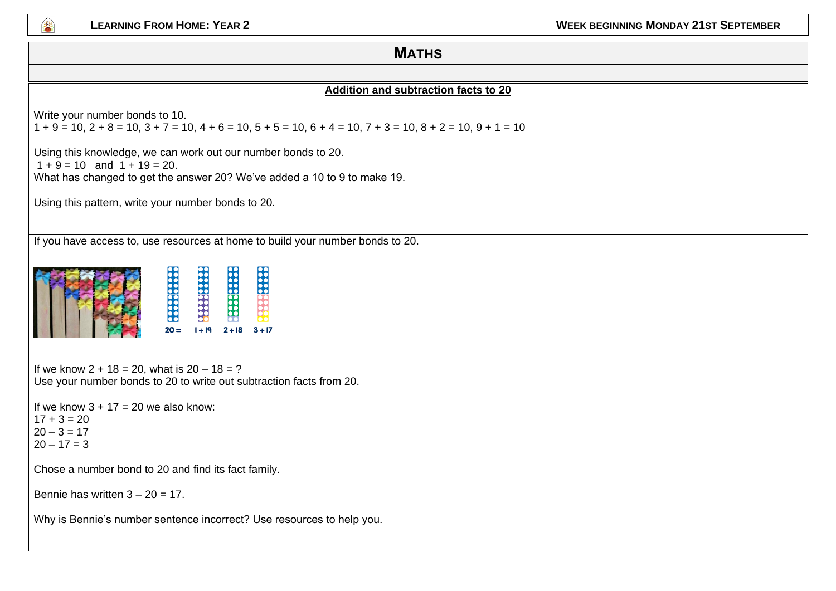

#### **MATHS**

#### **Addition and subtraction facts to 20**

Write your number bonds to 10.

 $1 + 9 = 10$ ,  $2 + 8 = 10$ ,  $3 + 7 = 10$ ,  $4 + 6 = 10$ ,  $5 + 5 = 10$ ,  $6 + 4 = 10$ ,  $7 + 3 = 10$ ,  $8 + 2 = 10$ ,  $9 + 1 = 10$ 

Using this knowledge, we can work out our number bonds to 20.  $1 + 9 = 10$  and  $1 + 19 = 20$ .

What has changed to get the answer 20? We've added a 10 to 9 to make 19.

Using this pattern, write your number bonds to 20.

If you have access to, use resources at home to build your number bonds to 20.

|  |  | $20 =$ | $1 + 19$ | $2 + 18$ | $3 + 17$ |
|--|--|--------|----------|----------|----------|
|--|--|--------|----------|----------|----------|

If we know  $2 + 18 = 20$ , what is  $20 - 18 = ?$ Use your number bonds to 20 to write out subtraction facts from 20. If we know  $3 + 17 = 20$  we also know:

 $17 + 3 = 20$  $20 - 3 = 17$  $20 - 17 = 3$ 

Chose a number bond to 20 and find its fact family.

Bennie has written  $3 - 20 = 17$ .

Why is Bennie's number sentence incorrect? Use resources to help you.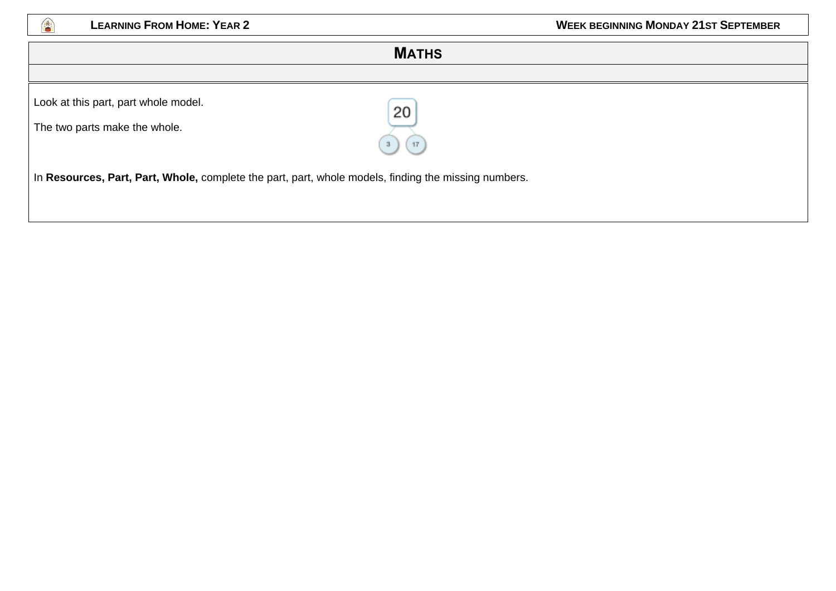

| <b>MATHS</b>                                                                                               |  |  |
|------------------------------------------------------------------------------------------------------------|--|--|
|                                                                                                            |  |  |
| Look at this part, part whole model.<br>20<br>The two parts make the whole.                                |  |  |
| 17<br>In Resources, Part, Part, Whole, complete the part, part, whole models, finding the missing numbers. |  |  |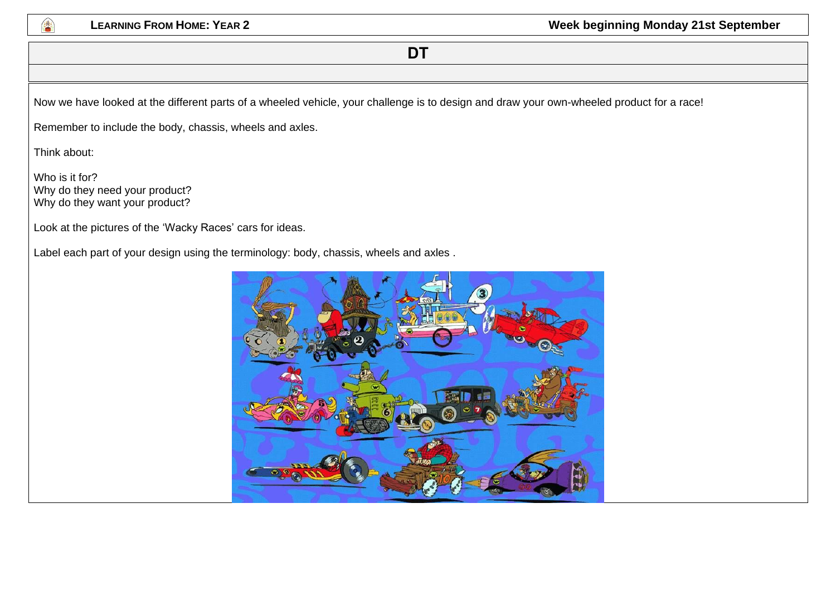

## **DT**

Now we have looked at the different parts of a wheeled vehicle, your challenge is to design and draw your own-wheeled product for a race!

Remember to include the body, chassis, wheels and axles.

Think about:

Who is it for? Why do they need your product? Why do they want your product?

Look at the pictures of the 'Wacky Races' cars for ideas.

Label each part of your design using the terminology: body, chassis, wheels and axles .

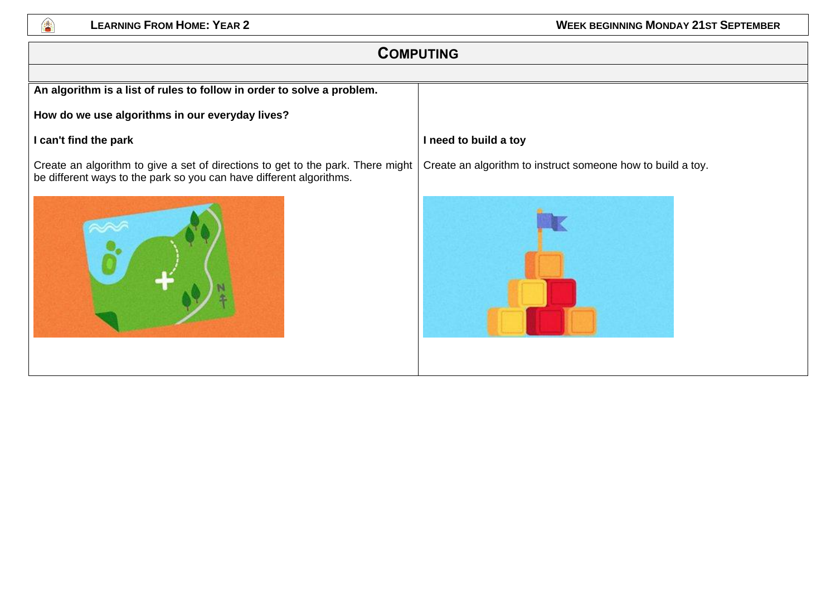

# **COMPUTING An algorithm is a list of rules to follow in order to solve a problem. How do we use algorithms in our everyday lives? I can't find the park** Create an algorithm to give a set of directions to get to the park. There might be different ways to the park so you can have different algorithms. **I need to build a toy** Create an algorithm to instruct someone how to build a toy.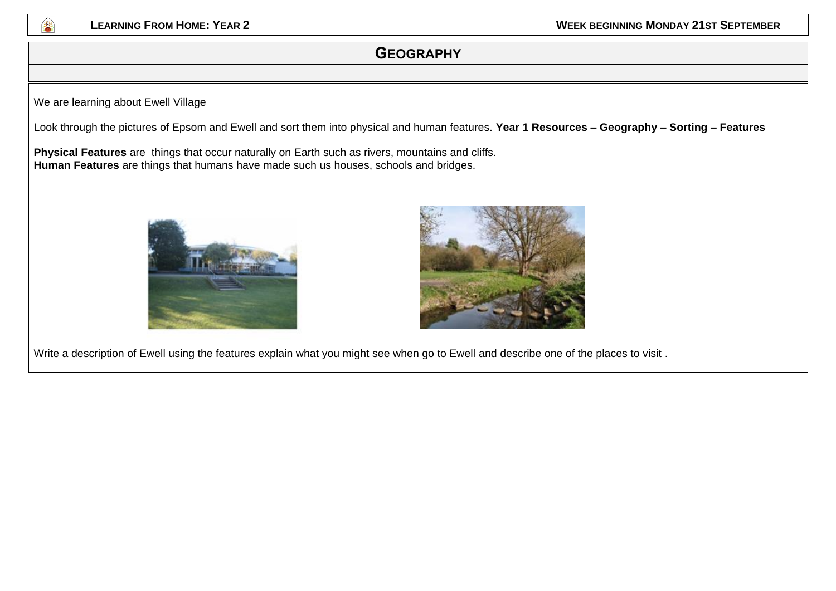

## **GEOGRAPHY**

We are learning about Ewell Village

Look through the pictures of Epsom and Ewell and sort them into physical and human features. **Year 1 Resources – Geography – Sorting – Features** 

**Physical Features** are things that occur naturally on Earth such as rivers, mountains and cliffs. **Human Features** are things that humans have made such us houses, schools and bridges.





Write a description of Ewell using the features explain what you might see when go to Ewell and describe one of the places to visit .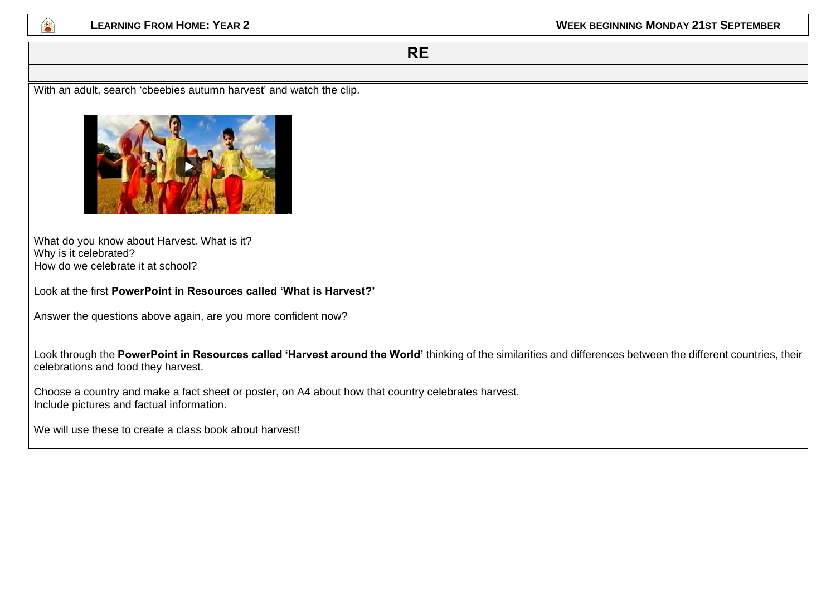

**RE**

With an adult, search 'cbeebies autumn harvest' and watch the clip.



What do you know about Harvest. What is it? Why is it celebrated? How do we celebrate it at school?

Look at the first **PowerPoint in Resources called 'What is Harvest?'**

Answer the questions above again, are you more confident now?

Look through the **PowerPoint in Resources called 'Harvest around the World'** thinking of the similarities and differences between the different countries, their celebrations and food they harvest.

Choose a country and make a fact sheet or poster, on A4 about how that country celebrates harvest. Include pictures and factual information.

We will use these to create a class book about harvest!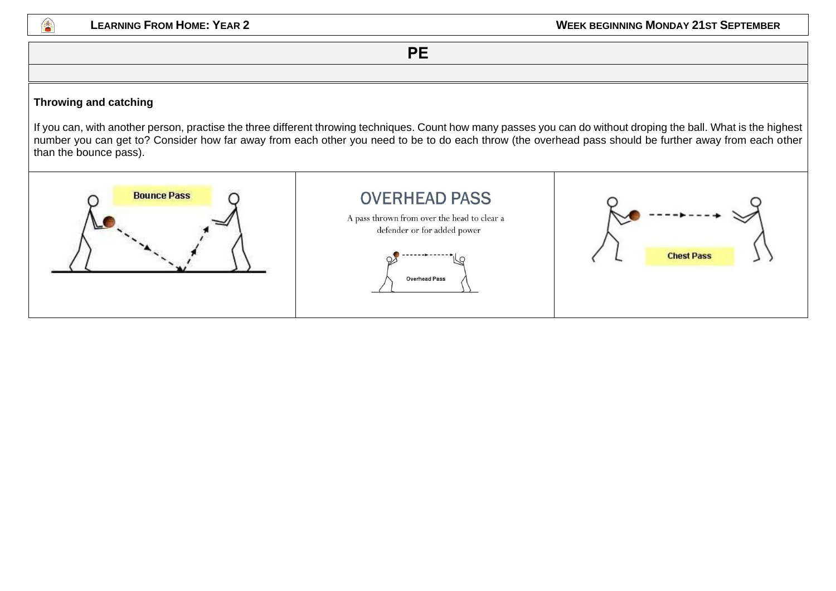

**PE**

#### **Throwing and catching**

If you can, with another person, practise the three different throwing techniques. Count how many passes you can do without droping the ball. What is the highest number you can get to? Consider how far away from each other you need to be to do each throw (the overhead pass should be further away from each other than the bounce pass).

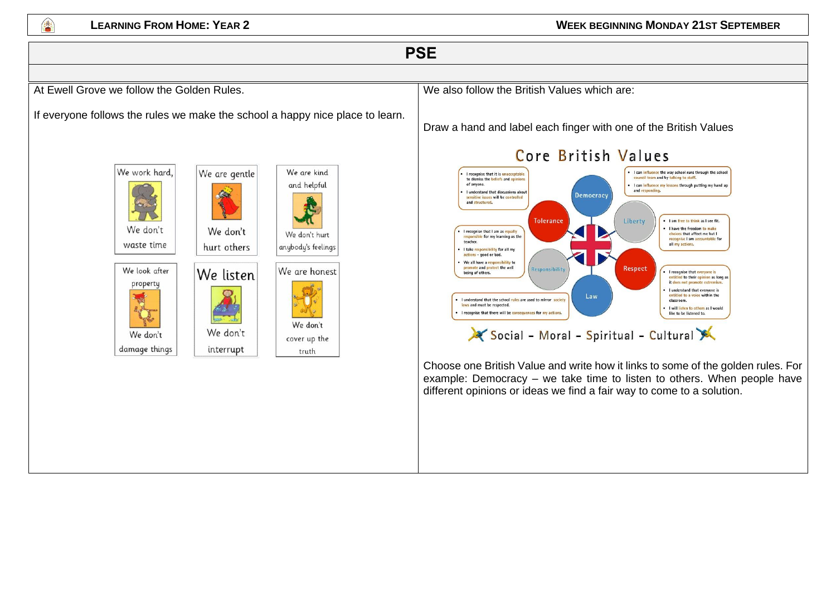

## **PSE**

At Ewell Grove we follow the Golden Rules.

If everyone follows the rules we make the school a happy nice place to learn.

interrupt



We don't waste time





We don't hurt anybody's feelings

We are honest We don't cover up the

truth

We also follow the British Values which are:

Draw a hand and label each finger with one of the British Values



Choose one British Value and write how it links to some of the golden rules. For example: Democracy – we take time to listen to others. When people have different opinions or ideas we find a fair way to come to a solution.

## Core British Values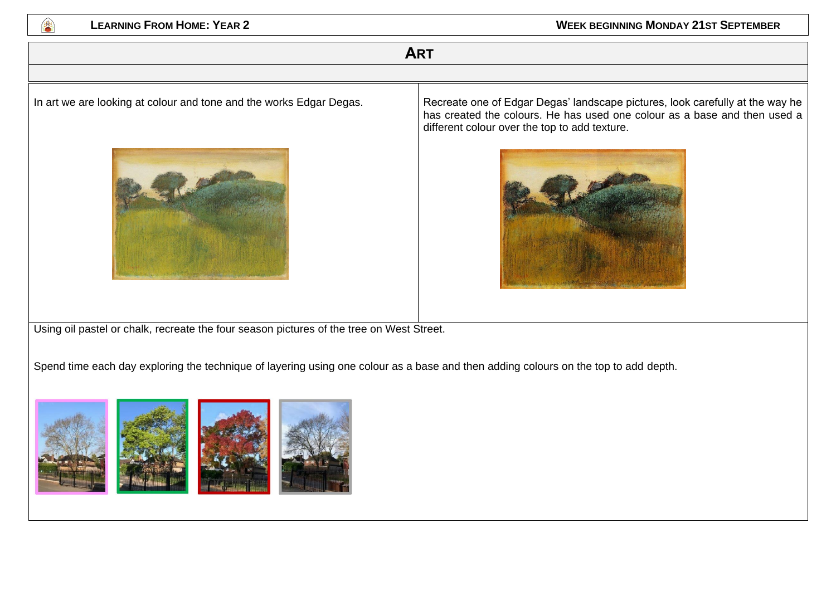

## **ART**



In art we are looking at colour and tone and the works Edgar Degas. <br>Recreate one of Edgar Degas' landscape pictures, look carefully at the way he has created the colours. He has used one colour as a base and then used a different colour over the top to add texture.



Using oil pastel or chalk, recreate the four season pictures of the tree on West Street.

Spend time each day exploring the technique of layering using one colour as a base and then adding colours on the top to add depth.

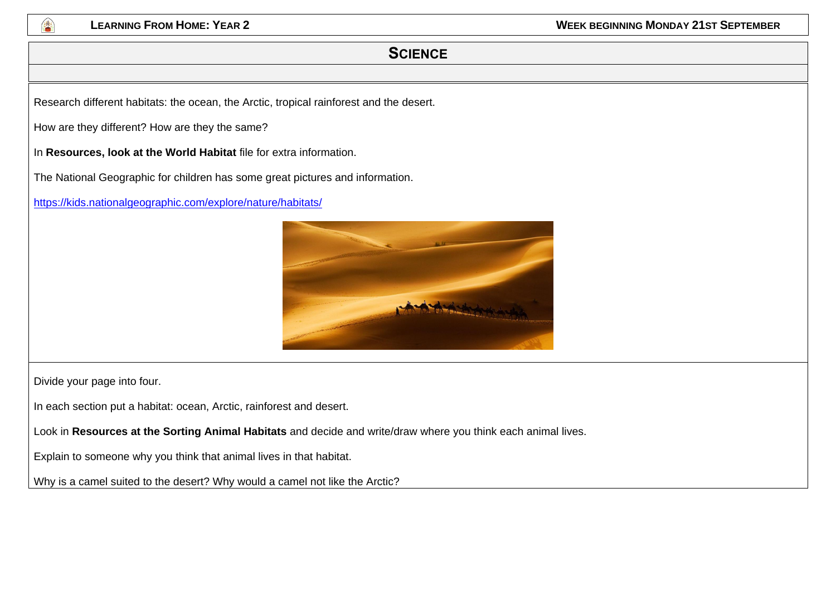

## **SCIENCE**

Research different habitats: the ocean, the Arctic, tropical rainforest and the desert.

How are they different? How are they the same?

In **Resources, look at the World Habitat** file for extra information.

The National Geographic for children has some great pictures and information.

<https://kids.nationalgeographic.com/explore/nature/habitats/>



Divide your page into four.

In each section put a habitat: ocean, Arctic, rainforest and desert.

Look in **Resources at the Sorting Animal Habitats** and decide and write/draw where you think each animal lives.

Explain to someone why you think that animal lives in that habitat.

Why is a camel suited to the desert? Why would a camel not like the Arctic?